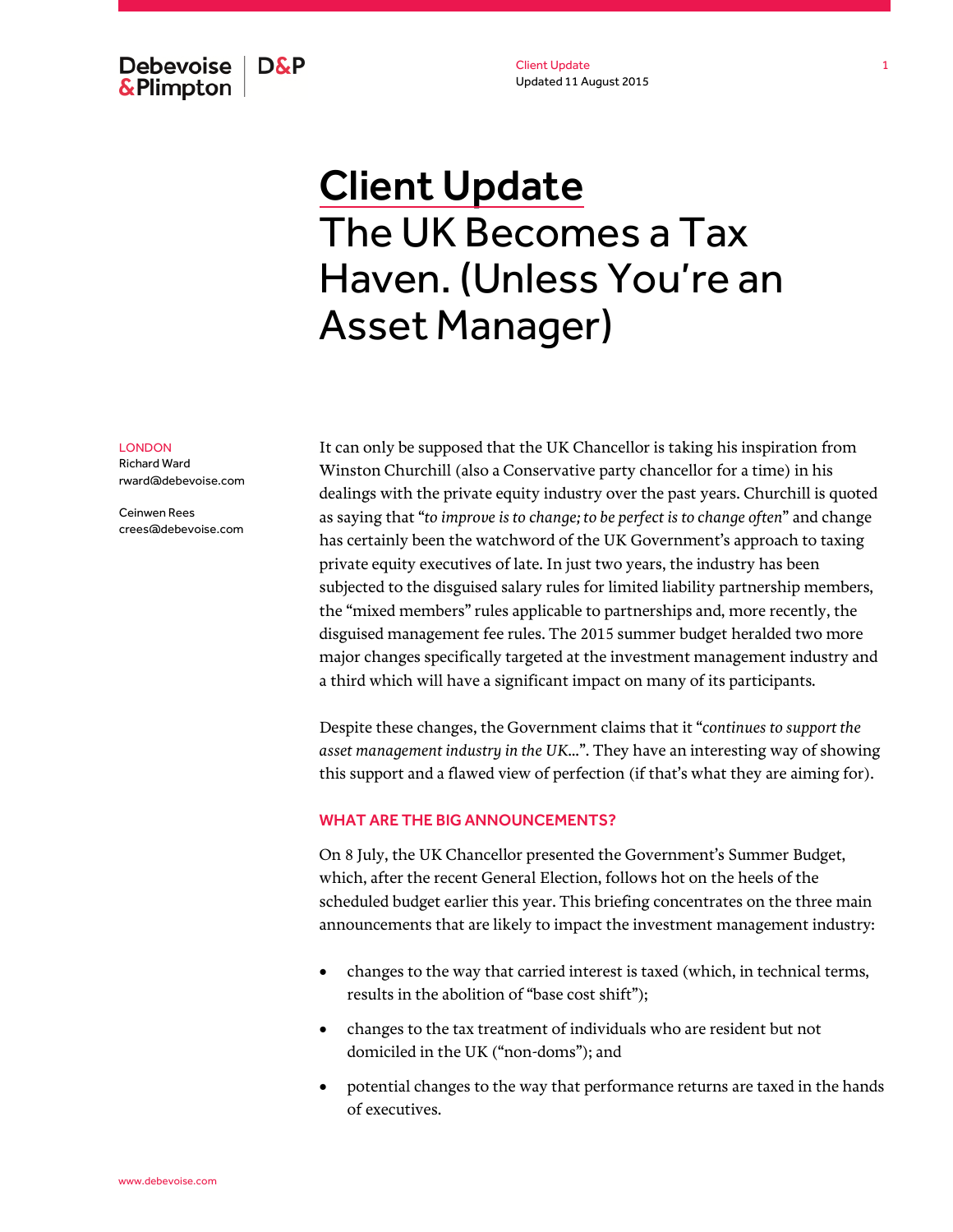Debevoise | D&P & Plimpton

Client Update Updated 11 August 2015

# Client Update The UK Becomes a Tax Haven. (Unless You're an Asset Manager)

#### LONDON

Richard Ward rward@debevoise.com

Ceinwen Rees crees@debevoise.com It can only be supposed that the UK Chancellor is taking his inspiration from Winston Churchill (also a Conservative party chancellor for a time) in his dealings with the private equity industry over the past years. Churchill is quoted as saying that "*to improve is to change; to be perfect is to change often*" and change has certainly been the watchword of the UK Government's approach to taxing private equity executives of late. In just two years, the industry has been subjected to the disguised salary rules for limited liability partnership members, the "mixed members" rules applicable to partnerships and, more recently, the disguised management fee rules. The 2015 summer budget heralded two more major changes specifically targeted at the investment management industry and a third which will have a significant impact on many of its participants.

Despite these changes, the Government claims that it "*continues to support the asset management industry in the UK...*". They have an interesting way of showing this support and a flawed view of perfection (if that's what they are aiming for).

### WHAT ARE THE BIG ANNOUNCEMENTS?

On 8 July, the UK Chancellor presented the Government's Summer Budget, which, after the recent General Election, follows hot on the heels of the scheduled budget earlier this year. This briefing concentrates on the three main announcements that are likely to impact the investment management industry:

- changes to the way that carried interest is taxed (which, in technical terms, results in the abolition of "base cost shift");
- changes to the tax treatment of individuals who are resident but not domiciled in the UK ("non-doms"); and
- potential changes to the way that performance returns are taxed in the hands of executives.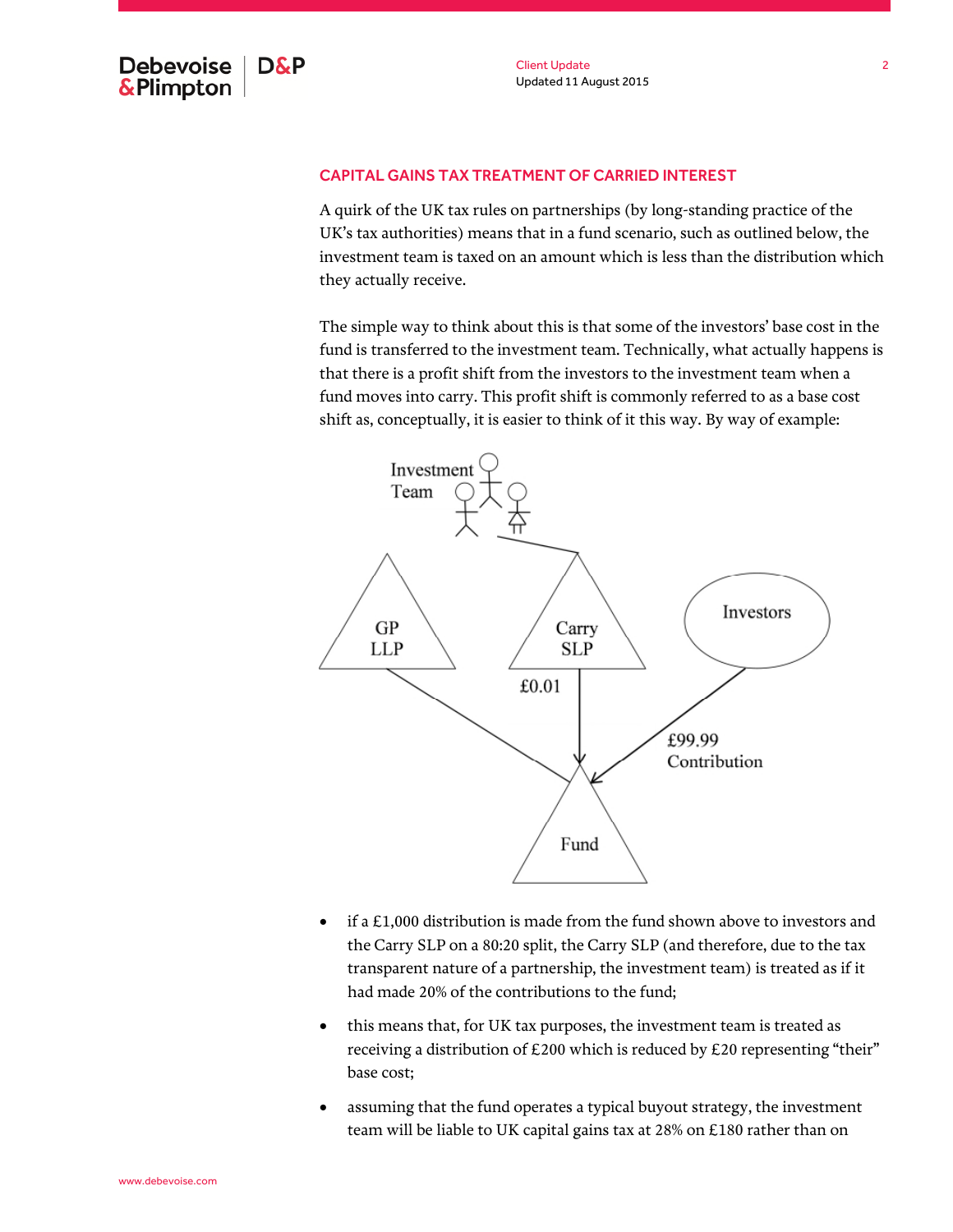## CAPITAL GAINS TAX TREATMENT OF CARRIED INTEREST

A quirk of the UK tax rules on partnerships (by long-standing practice of the UK's tax authorities) means that in a fund scenario, such as outlined below, the investment team is taxed on an amount which is less than the distribution which they actually receive.

The simple way to think about this is that some of the investors' base cost in the fund is transferred to the investment team. Technically, what actually happens is that there is a profit shift from the investors to the investment team when a fund moves into carry. This profit shift is commonly referred to as a base cost shift as, conceptually, it is easier to think of it this way. By way of example:



- $\bullet$  if a £1,000 distribution is made from the fund shown above to investors and the Carry SLP on a 80:20 split, the Carry SLP (and therefore, due to the tax transparent nature of a partnership, the investment team) is treated as if it had made 20% of the contributions to the fund;
- this means that, for UK tax purposes, the investment team is treated as receiving a distribution of £200 which is reduced by £20 representing "their" base cost;
- assuming that the fund operates a typical buyout strategy, the investment team will be liable to UK capital gains tax at 28% on £180 rather than on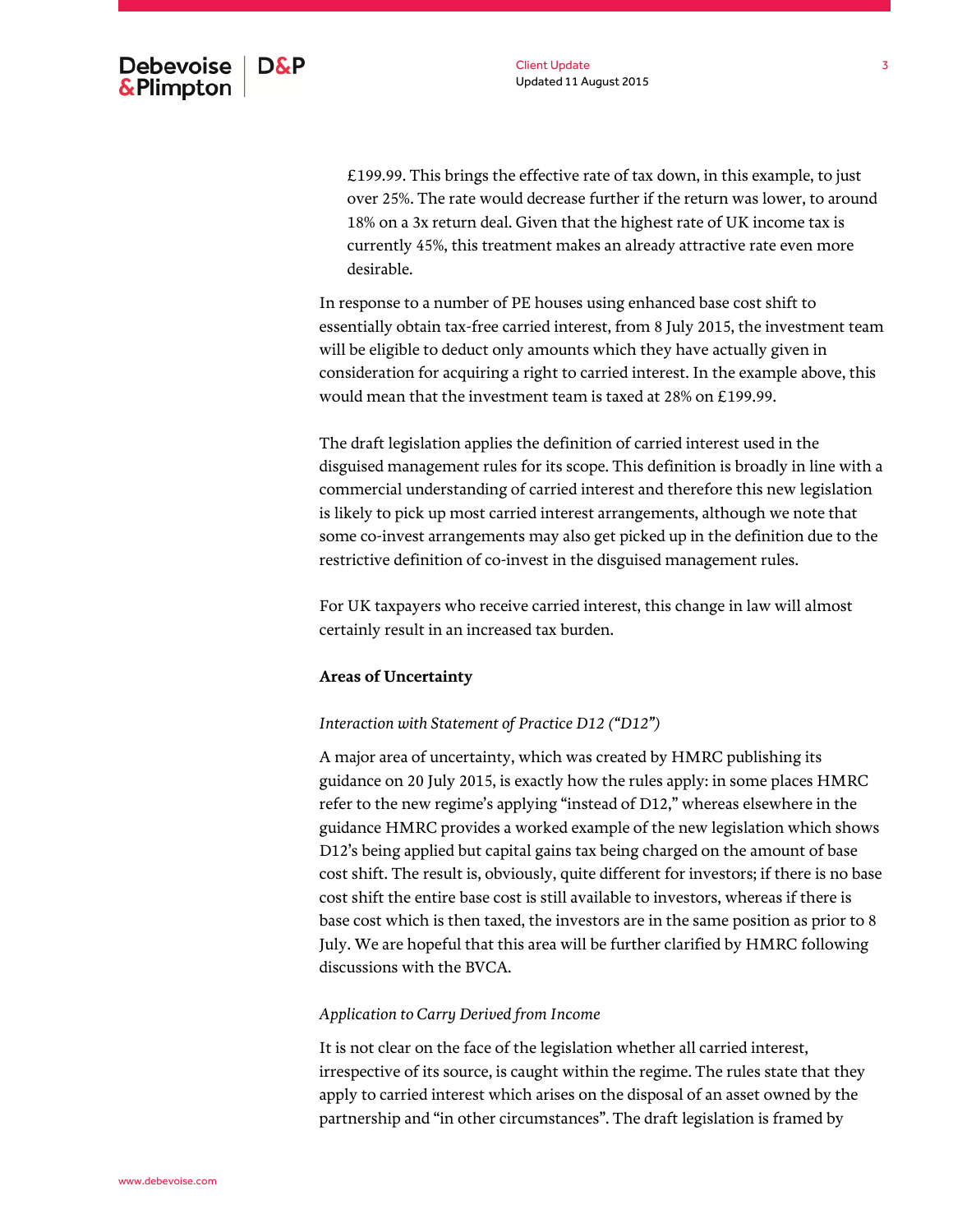£199.99. This brings the effective rate of tax down, in this example, to just over 25%. The rate would decrease further if the return was lower, to around 18% on a 3x return deal. Given that the highest rate of UK income tax is currently 45%, this treatment makes an already attractive rate even more desirable.

In response to a number of PE houses using enhanced base cost shift to essentially obtain tax-free carried interest, from 8 July 2015, the investment team will be eligible to deduct only amounts which they have actually given in consideration for acquiring a right to carried interest. In the example above, this would mean that the investment team is taxed at 28% on £199.99.

The draft legislation applies the definition of carried interest used in the disguised management rules for its scope. This definition is broadly in line with a commercial understanding of carried interest and therefore this new legislation is likely to pick up most carried interest arrangements, although we note that some co-invest arrangements may also get picked up in the definition due to the restrictive definition of co-invest in the disguised management rules.

For UK taxpayers who receive carried interest, this change in law will almost certainly result in an increased tax burden.

## **Areas of Uncertainty**

## *Interaction with Statement of Practice D12 ("D12")*

A major area of uncertainty, which was created by HMRC publishing its guidance on 20 July 2015, is exactly how the rules apply: in some places HMRC refer to the new regime's applying "instead of D12," whereas elsewhere in the guidance HMRC provides a worked example of the new legislation which shows D12's being applied but capital gains tax being charged on the amount of base cost shift. The result is, obviously, quite different for investors; if there is no base cost shift the entire base cost is still available to investors, whereas if there is base cost which is then taxed, the investors are in the same position as prior to 8 July. We are hopeful that this area will be further clarified by HMRC following discussions with the BVCA.

## *Application to Carry Derived from Income*

It is not clear on the face of the legislation whether all carried interest, irrespective of its source, is caught within the regime. The rules state that they apply to carried interest which arises on the disposal of an asset owned by the partnership and "in other circumstances". The draft legislation is framed by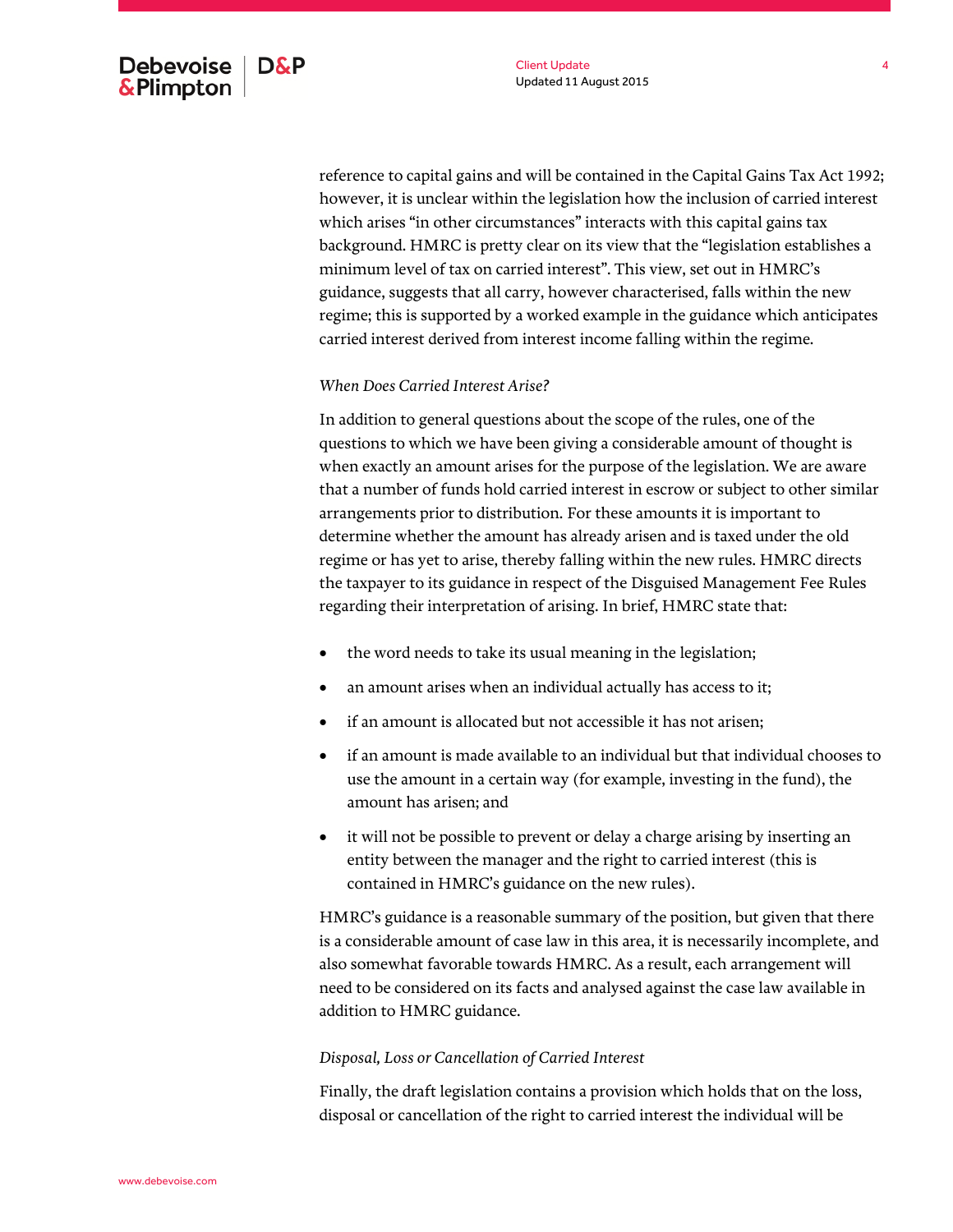reference to capital gains and will be contained in the Capital Gains Tax Act 1992; however, it is unclear within the legislation how the inclusion of carried interest which arises "in other circumstances" interacts with this capital gains tax background. HMRC is pretty clear on its view that the "legislation establishes a minimum level of tax on carried interest". This view, set out in HMRC's guidance, suggests that all carry, however characterised, falls within the new regime; this is supported by a worked example in the guidance which anticipates carried interest derived from interest income falling within the regime.

## *When Does Carried Interest Arise?*

In addition to general questions about the scope of the rules, one of the questions to which we have been giving a considerable amount of thought is when exactly an amount arises for the purpose of the legislation. We are aware that a number of funds hold carried interest in escrow or subject to other similar arrangements prior to distribution. For these amounts it is important to determine whether the amount has already arisen and is taxed under the old regime or has yet to arise, thereby falling within the new rules. HMRC directs the taxpayer to its guidance in respect of the Disguised Management Fee Rules regarding their interpretation of arising. In brief, HMRC state that:

- the word needs to take its usual meaning in the legislation;
- an amount arises when an individual actually has access to it;
- if an amount is allocated but not accessible it has not arisen;
- if an amount is made available to an individual but that individual chooses to use the amount in a certain way (for example, investing in the fund), the amount has arisen; and
- it will not be possible to prevent or delay a charge arising by inserting an entity between the manager and the right to carried interest (this is contained in HMRC's guidance on the new rules).

HMRC's guidance is a reasonable summary of the position, but given that there is a considerable amount of case law in this area, it is necessarily incomplete, and also somewhat favorable towards HMRC. As a result, each arrangement will need to be considered on its facts and analysed against the case law available in addition to HMRC guidance.

#### *Disposal, Loss or Cancellation of Carried Interest*

Finally, the draft legislation contains a provision which holds that on the loss, disposal or cancellation of the right to carried interest the individual will be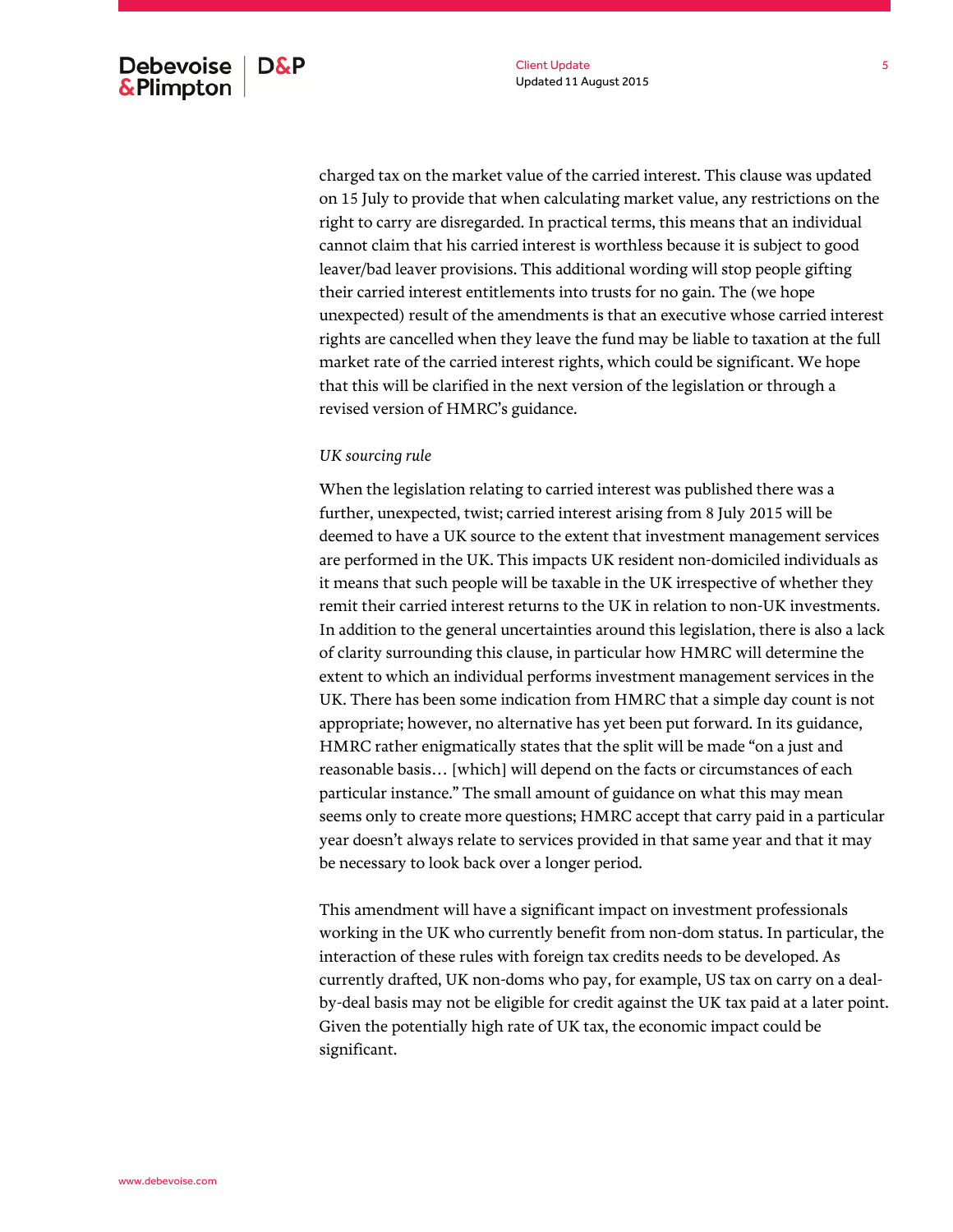charged tax on the market value of the carried interest. This clause was updated on 15 July to provide that when calculating market value, any restrictions on the right to carry are disregarded. In practical terms, this means that an individual cannot claim that his carried interest is worthless because it is subject to good leaver/bad leaver provisions. This additional wording will stop people gifting their carried interest entitlements into trusts for no gain. The (we hope unexpected) result of the amendments is that an executive whose carried interest rights are cancelled when they leave the fund may be liable to taxation at the full market rate of the carried interest rights, which could be significant. We hope that this will be clarified in the next version of the legislation or through a revised version of HMRC's guidance.

#### *UK sourcing rule*

When the legislation relating to carried interest was published there was a further, unexpected, twist; carried interest arising from 8 July 2015 will be deemed to have a UK source to the extent that investment management services are performed in the UK. This impacts UK resident non-domiciled individuals as it means that such people will be taxable in the UK irrespective of whether they remit their carried interest returns to the UK in relation to non-UK investments. In addition to the general uncertainties around this legislation, there is also a lack of clarity surrounding this clause, in particular how HMRC will determine the extent to which an individual performs investment management services in the UK. There has been some indication from HMRC that a simple day count is not appropriate; however, no alternative has yet been put forward. In its guidance, HMRC rather enigmatically states that the split will be made "on a just and reasonable basis… [which] will depend on the facts or circumstances of each particular instance." The small amount of guidance on what this may mean seems only to create more questions; HMRC accept that carry paid in a particular year doesn't always relate to services provided in that same year and that it may be necessary to look back over a longer period.

This amendment will have a significant impact on investment professionals working in the UK who currently benefit from non-dom status. In particular, the interaction of these rules with foreign tax credits needs to be developed. As currently drafted, UK non-doms who pay, for example, US tax on carry on a dealby-deal basis may not be eligible for credit against the UK tax paid at a later point. Given the potentially high rate of UK tax, the economic impact could be significant.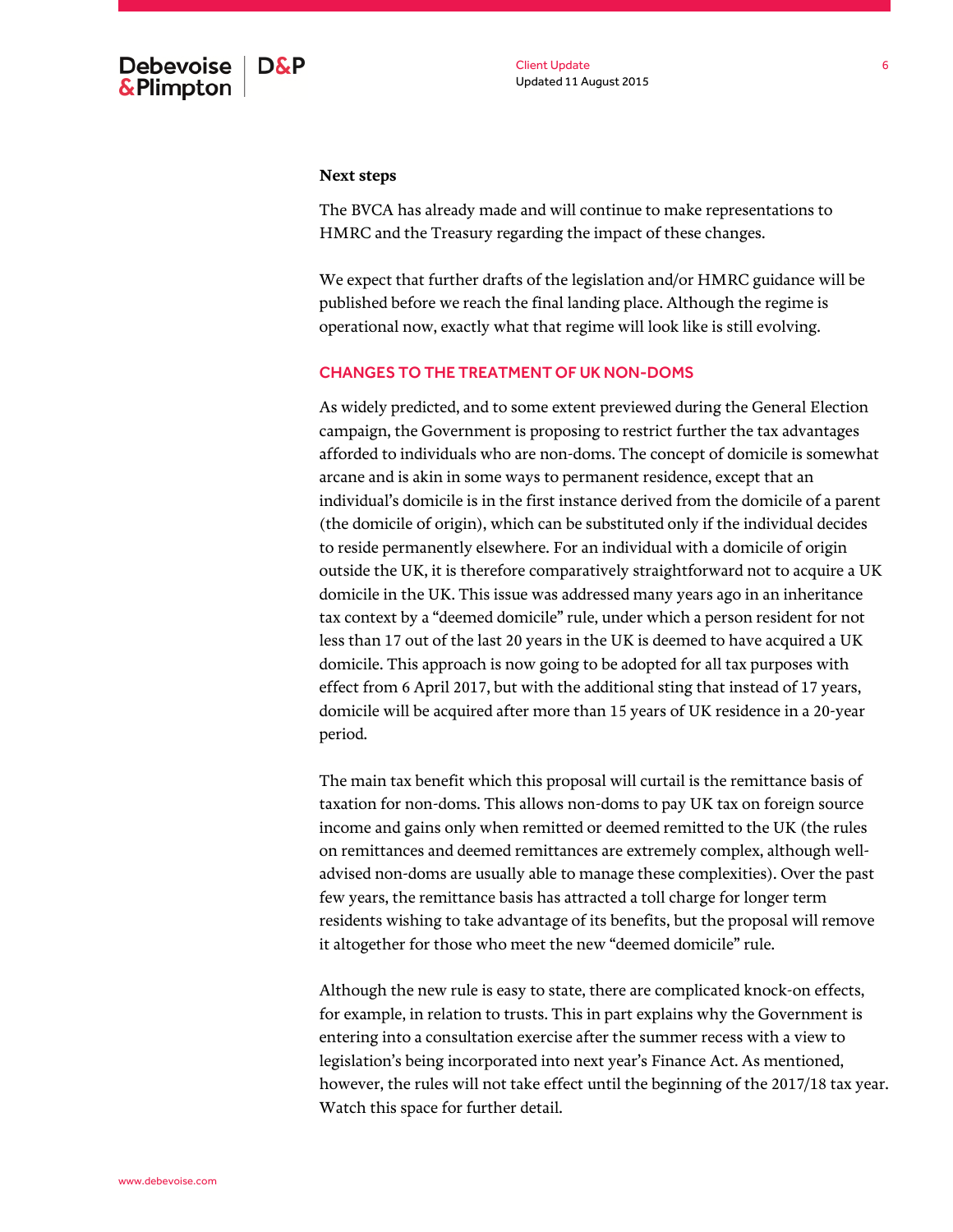#### **Next steps**

The BVCA has already made and will continue to make representations to HMRC and the Treasury regarding the impact of these changes.

We expect that further drafts of the legislation and/or HMRC guidance will be published before we reach the final landing place. Although the regime is operational now, exactly what that regime will look like is still evolving.

## CHANGES TO THE TREATMENT OF UK NON-DOMS

As widely predicted, and to some extent previewed during the General Election campaign, the Government is proposing to restrict further the tax advantages afforded to individuals who are non-doms. The concept of domicile is somewhat arcane and is akin in some ways to permanent residence, except that an individual's domicile is in the first instance derived from the domicile of a parent (the domicile of origin), which can be substituted only if the individual decides to reside permanently elsewhere. For an individual with a domicile of origin outside the UK, it is therefore comparatively straightforward not to acquire a UK domicile in the UK. This issue was addressed many years ago in an inheritance tax context by a "deemed domicile" rule, under which a person resident for not less than 17 out of the last 20 years in the UK is deemed to have acquired a UK domicile. This approach is now going to be adopted for all tax purposes with effect from 6 April 2017, but with the additional sting that instead of 17 years, domicile will be acquired after more than 15 years of UK residence in a 20-year period.

The main tax benefit which this proposal will curtail is the remittance basis of taxation for non-doms. This allows non-doms to pay UK tax on foreign source income and gains only when remitted or deemed remitted to the UK (the rules on remittances and deemed remittances are extremely complex, although welladvised non-doms are usually able to manage these complexities). Over the past few years, the remittance basis has attracted a toll charge for longer term residents wishing to take advantage of its benefits, but the proposal will remove it altogether for those who meet the new "deemed domicile" rule.

Although the new rule is easy to state, there are complicated knock-on effects, for example, in relation to trusts. This in part explains why the Government is entering into a consultation exercise after the summer recess with a view to legislation's being incorporated into next year's Finance Act. As mentioned, however, the rules will not take effect until the beginning of the 2017/18 tax year. Watch this space for further detail.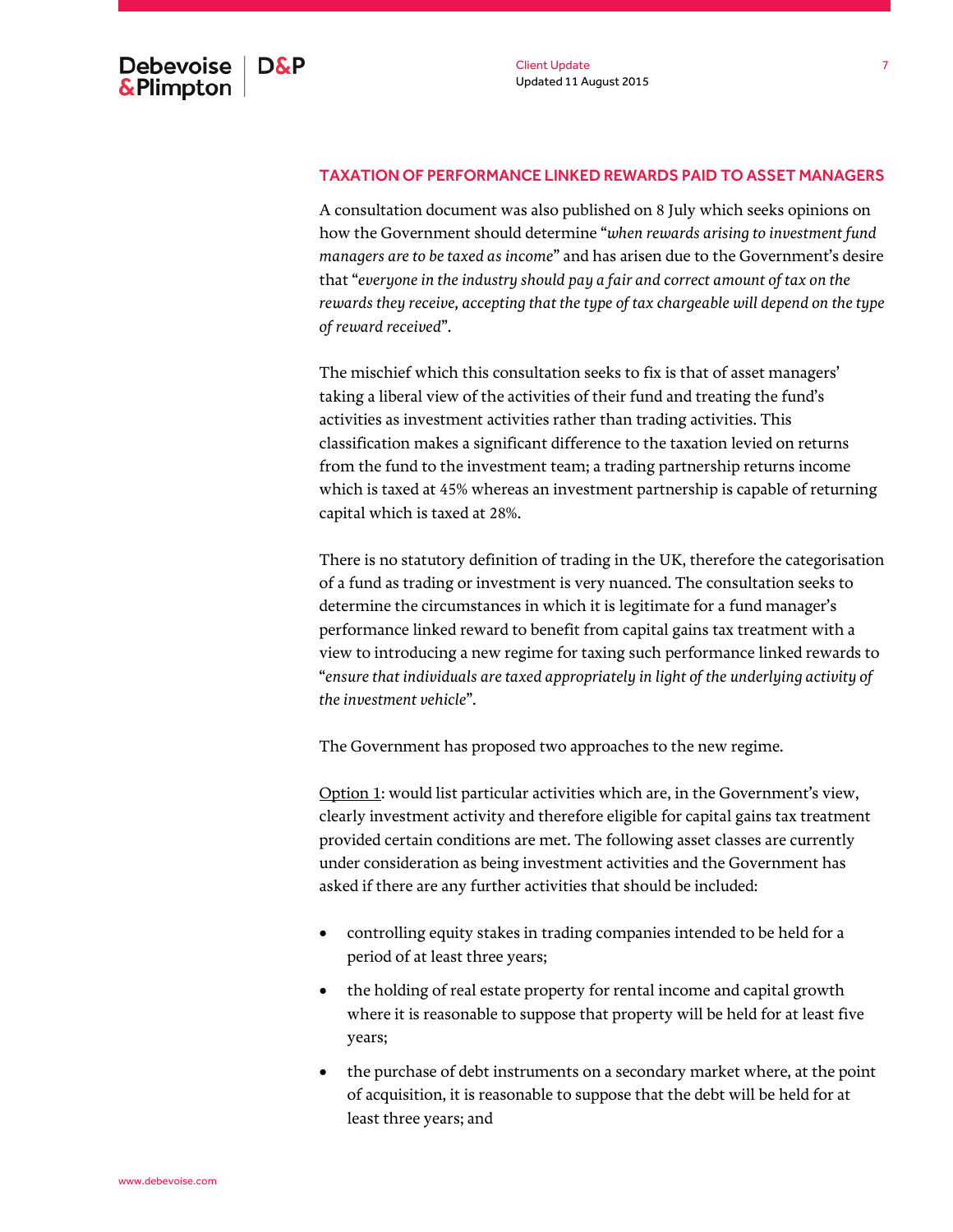## TAXATION OF PERFORMANCE LINKED REWARDS PAID TO ASSET MANAGERS

A consultation document was also published on 8 July which seeks opinions on how the Government should determine "*when rewards arising to investment fund managers are to be taxed as income*" and has arisen due to the Government's desire that "*everyone in the industry should pay a fair and correct amount of tax on the rewards they receive, accepting that the type of tax chargeable will depend on the type of reward received*".

The mischief which this consultation seeks to fix is that of asset managers' taking a liberal view of the activities of their fund and treating the fund's activities as investment activities rather than trading activities. This classification makes a significant difference to the taxation levied on returns from the fund to the investment team; a trading partnership returns income which is taxed at 45% whereas an investment partnership is capable of returning capital which is taxed at 28%.

There is no statutory definition of trading in the UK, therefore the categorisation of a fund as trading or investment is very nuanced. The consultation seeks to determine the circumstances in which it is legitimate for a fund manager's performance linked reward to benefit from capital gains tax treatment with a view to introducing a new regime for taxing such performance linked rewards to "*ensure that individuals are taxed appropriately in light of the underlying activity of the investment vehicle*".

The Government has proposed two approaches to the new regime.

Option 1: would list particular activities which are, in the Government's view, clearly investment activity and therefore eligible for capital gains tax treatment provided certain conditions are met. The following asset classes are currently under consideration as being investment activities and the Government has asked if there are any further activities that should be included:

- controlling equity stakes in trading companies intended to be held for a period of at least three years;
- the holding of real estate property for rental income and capital growth where it is reasonable to suppose that property will be held for at least five years;
- the purchase of debt instruments on a secondary market where, at the point of acquisition, it is reasonable to suppose that the debt will be held for at least three years; and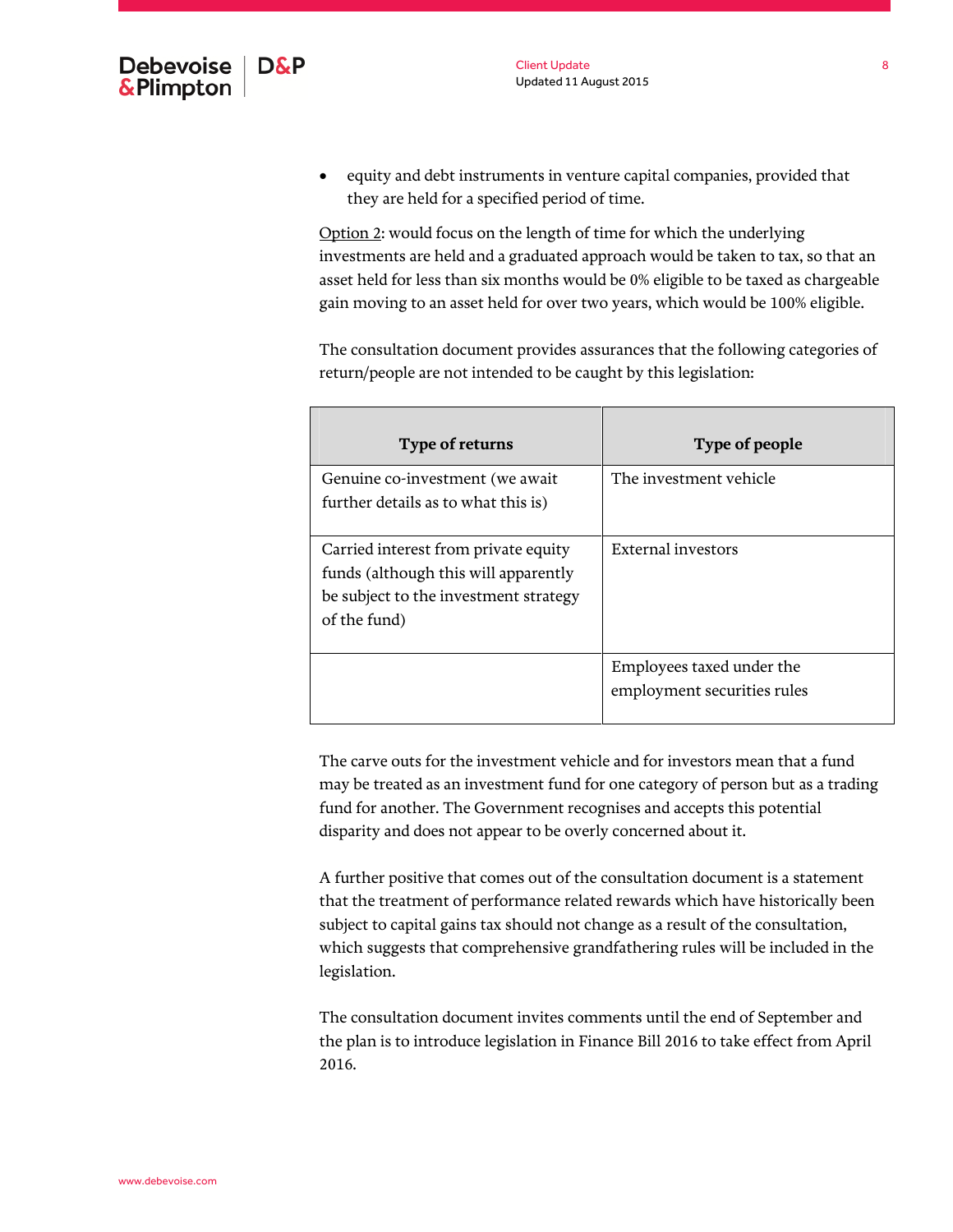equity and debt instruments in venture capital companies, provided that they are held for a specified period of time.

Option 2: would focus on the length of time for which the underlying investments are held and a graduated approach would be taken to tax, so that an asset held for less than six months would be 0% eligible to be taxed as chargeable gain moving to an asset held for over two years, which would be 100% eligible.

The consultation document provides assurances that the following categories of return/people are not intended to be caught by this legislation:

| Type of returns                                                                                                                       | Type of people                                           |
|---------------------------------------------------------------------------------------------------------------------------------------|----------------------------------------------------------|
| Genuine co-investment (we await<br>further details as to what this is)                                                                | The investment vehicle                                   |
| Carried interest from private equity<br>funds (although this will apparently<br>be subject to the investment strategy<br>of the fund) | External investors                                       |
|                                                                                                                                       | Employees taxed under the<br>employment securities rules |

The carve outs for the investment vehicle and for investors mean that a fund may be treated as an investment fund for one category of person but as a trading fund for another. The Government recognises and accepts this potential disparity and does not appear to be overly concerned about it.

A further positive that comes out of the consultation document is a statement that the treatment of performance related rewards which have historically been subject to capital gains tax should not change as a result of the consultation, which suggests that comprehensive grandfathering rules will be included in the legislation.

The consultation document invites comments until the end of September and the plan is to introduce legislation in Finance Bill 2016 to take effect from April 2016.